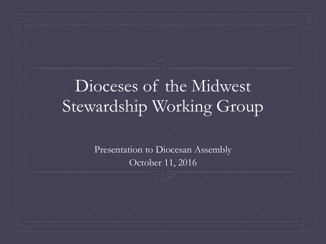#### Dioceses of the Midwest Stewardship Working Group

Presentation to Diocesan Assembly October 11, 2016

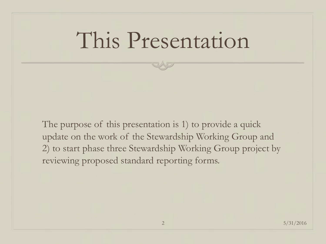### This Presentation

The purpose of this presentation is 1) to provide a quick update on the work of the Stewardship Working Group and 2) to start phase three Stewardship Working Group project by reviewing proposed standard reporting forms.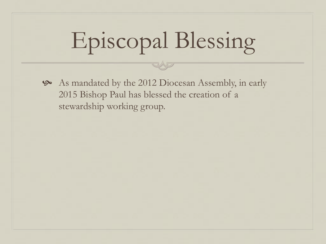# Episcopal Blessing

! As mandated by the 2012 Diocesan Assembly, in early 2015 Bishop Paul has blessed the creation of a stewardship working group.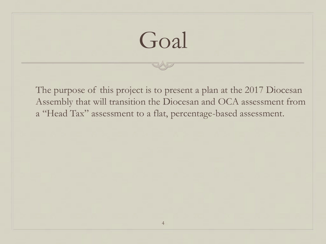## Goal

The purpose of this project is to present a plan at the 2017 Diocesan Assembly that will transition the Diocesan and OCA assessment from a "Head Tax" assessment to a flat, percentage-based assessment.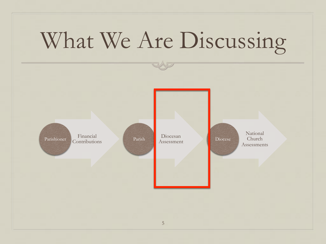# What We Are Discussing

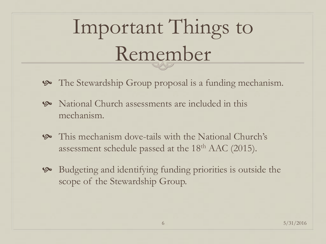# Important Things to Remember

- The Stewardship Group proposal is a funding mechanism.
- **S** National Church assessments are included in this mechanism.
- ! This mechanism dove-tails with the National Church's assessment schedule passed at the 18<sup>th</sup> AAC (2015).
- ! Budgeting and identifying funding priorities is outside the scope of the Stewardship Group.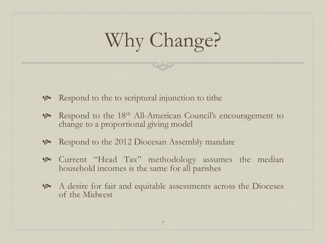#### Why Change?

- **9** Respond to the to scriptural injunction to tithe
- **9 Respond to the 18th All-American Council's encouragement to** change to a proportional giving model
- **9 Respond to the 2012 Diocesan Assembly mandate**
- **9** Current "Head Tax" methodology assumes the median household incomes is the same for all parishes
- ! A desire for fair and equitable assessments across the Dioceses of the Midwest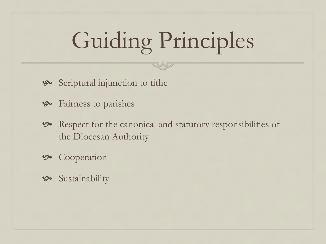## Guiding Principles

- ! Scriptural injunction to tithe
- ! Fairness to parishes
- **9** Respect for the canonical and statutory responsibilities of the Diocesan Authority
- ! Cooperation
- **9** Sustainability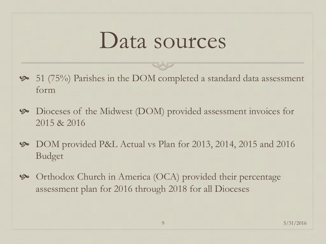#### Data sources

- ! 51 (75%) Parishes in the DOM completed a standard data assessment form
- ! Dioceses of the Midwest (DOM) provided assessment invoices for 2015 & 2016
- ! DOM provided P&L Actual vs Plan for 2013, 2014, 2015 and 2016 Budget
- ! Orthodox Church in America (OCA) provided their percentage assessment plan for 2016 through 2018 for all Dioceses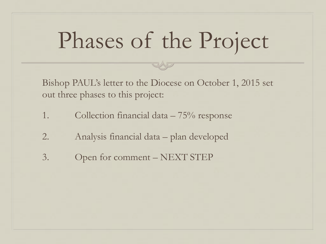## Phases of the Project

Bishop PAUL's letter to the Diocese on October 1, 2015 set out three phases to this project:

- 1. Collection financial data 75% response
- 2. Analysis financial data plan developed
- 3. Open for comment NEXT STEP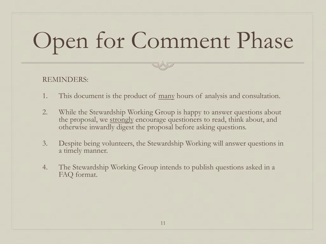# Open for Comment Phase

#### REMINDERS:

- 1. This document is the product of many hours of analysis and consultation.
- 2. While the Stewardship Working Group is happy to answer questions about the proposal, we strongly encourage questioners to read, think about, and otherwise inwardly digest the proposal before asking questions.
- 3. Despite being volunteers, the Stewardship Working will answer questions in a timely manner.
- 4. The Stewardship Working Group intends to publish questions asked in a FAQ format.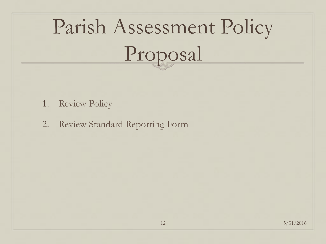# Parish Assessment Policy Proposal

- 1. Review Policy
- 2. Review Standard Reporting Form